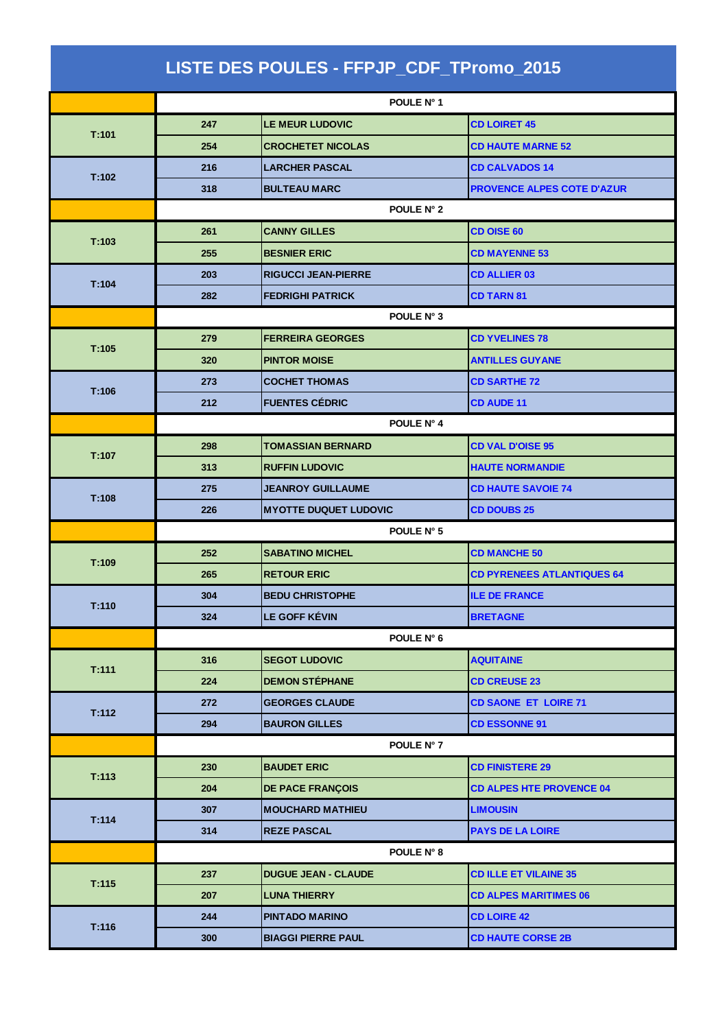| LISTE DES POULES - FFPJP_CDF_TPromo_2015 |            |                              |                                   |  |  |
|------------------------------------------|------------|------------------------------|-----------------------------------|--|--|
|                                          | POULE N° 1 |                              |                                   |  |  |
|                                          | 247        | <b>LE MEUR LUDOVIC</b>       | <b>CD LOIRET 45</b>               |  |  |
| T:101                                    | 254        | <b>CROCHETET NICOLAS</b>     | <b>CD HAUTE MARNE 52</b>          |  |  |
|                                          | 216        | <b>LARCHER PASCAL</b>        | <b>CD CALVADOS 14</b>             |  |  |
| T:102                                    | 318        | <b>BULTEAU MARC</b>          | <b>PROVENCE ALPES COTE D'AZUR</b> |  |  |
|                                          | POULE N° 2 |                              |                                   |  |  |
|                                          | 261        | <b>CANNY GILLES</b>          | <b>CD OISE 60</b>                 |  |  |
| T:103                                    | 255        | <b>BESNIER ERIC</b>          | <b>CD MAYENNE 53</b>              |  |  |
|                                          | 203        | <b>RIGUCCI JEAN-PIERRE</b>   | <b>CD ALLIER 03</b>               |  |  |
| T:104                                    | 282        | <b>FEDRIGHI PATRICK</b>      | <b>CD TARN 81</b>                 |  |  |
|                                          | POULE N° 3 |                              |                                   |  |  |
|                                          | 279        | <b>FERREIRA GEORGES</b>      | <b>CD YVELINES 78</b>             |  |  |
| T:105                                    | 320        | <b>PINTOR MOISE</b>          | <b>ANTILLES GUYANE</b>            |  |  |
|                                          | 273        | <b>COCHET THOMAS</b>         | <b>CD SARTHE 72</b>               |  |  |
| T:106                                    | 212        | <b>FUENTES CÉDRIC</b>        | <b>CD AUDE 11</b>                 |  |  |
|                                          |            | POULE N° 4                   |                                   |  |  |
|                                          | 298        | <b>TOMASSIAN BERNARD</b>     | <b>CD VAL D'OISE 95</b>           |  |  |
| T:107                                    | 313        | <b>RUFFIN LUDOVIC</b>        | <b>HAUTE NORMANDIE</b>            |  |  |
|                                          | 275        | <b>JEANROY GUILLAUME</b>     | <b>CD HAUTE SAVOIE 74</b>         |  |  |
| T:108                                    | 226        | <b>MYOTTE DUQUET LUDOVIC</b> | <b>CD DOUBS 25</b>                |  |  |
|                                          | POULE N° 5 |                              |                                   |  |  |
|                                          | 252        | <b>SABATINO MICHEL</b>       | <b>CD MANCHE 50</b>               |  |  |
| T:109                                    | 265        | <b>RETOUR ERIC</b>           | <b>CD PYRENEES ATLANTIQUES 64</b> |  |  |
|                                          | 304        | <b>BEDU CHRISTOPHE</b>       | <b>ILE DE FRANCE</b>              |  |  |
| T:110                                    | 324        | LE GOFF KÉVIN                | <b>BRETAGNE</b>                   |  |  |
|                                          |            | POULE N° 6                   |                                   |  |  |
|                                          | 316        | <b>SEGOT LUDOVIC</b>         | <b>AQUITAINE</b>                  |  |  |
| T:111                                    | 224        | <b>DEMON STÉPHANE</b>        | <b>CD CREUSE 23</b>               |  |  |
|                                          | 272        | <b>GEORGES CLAUDE</b>        | <b>CD SAONE ET LOIRE 71</b>       |  |  |
| T:112                                    | 294        | <b>BAURON GILLES</b>         | <b>CD ESSONNE 91</b>              |  |  |
|                                          |            | POULE N° 7                   |                                   |  |  |
|                                          | 230        | <b>BAUDET ERIC</b>           | <b>CD FINISTERE 29</b>            |  |  |
| T:113                                    | 204        | <b>DE PACE FRANÇOIS</b>      | <b>CD ALPES HTE PROVENCE 04</b>   |  |  |
| T:114                                    | 307        | <b>MOUCHARD MATHIEU</b>      | <b>LIMOUSIN</b>                   |  |  |
|                                          | 314        | <b>REZE PASCAL</b>           | <b>PAYS DE LA LOIRE</b>           |  |  |
|                                          |            | POULE N° 8                   |                                   |  |  |
| T:115                                    | 237        | <b>DUGUE JEAN - CLAUDE</b>   | <b>CD ILLE ET VILAINE 35</b>      |  |  |
|                                          | 207        | <b>LUNA THIERRY</b>          | <b>CD ALPES MARITIMES 06</b>      |  |  |
| T:116                                    | 244        | <b>PINTADO MARINO</b>        | <b>CD LOIRE 42</b>                |  |  |
|                                          | 300        | <b>BIAGGI PIERRE PAUL</b>    | <b>CD HAUTE CORSE 2B</b>          |  |  |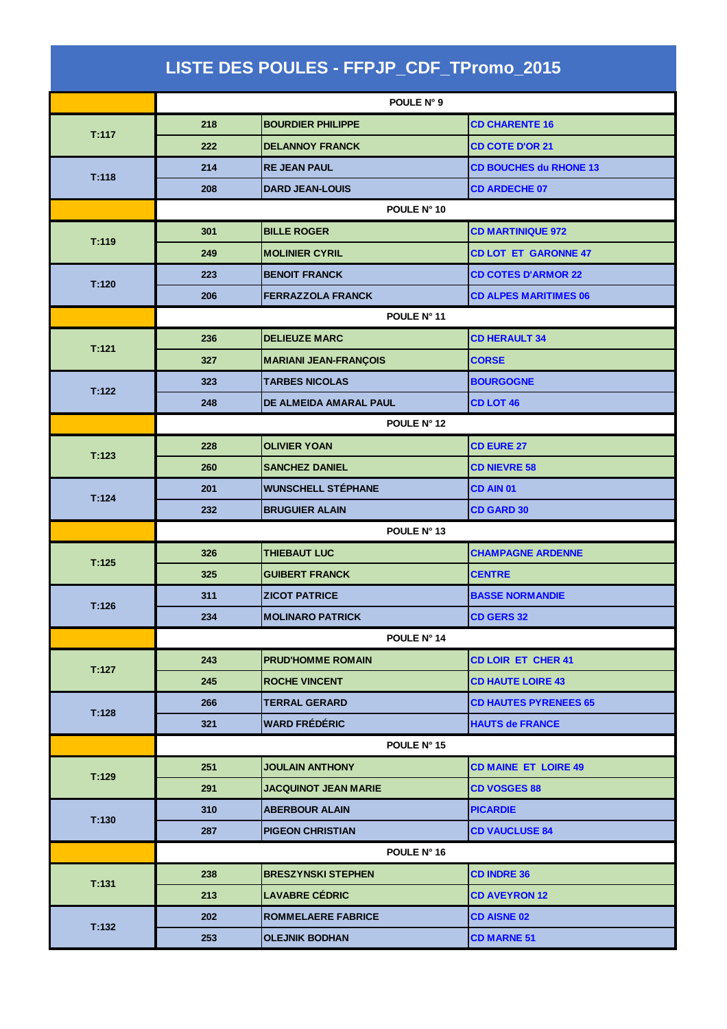| LISTE DES POULES - FFPJP_CDF_TPromo_2015 |             |                              |                               |  |  |  |
|------------------------------------------|-------------|------------------------------|-------------------------------|--|--|--|
|                                          | POULE N° 9  |                              |                               |  |  |  |
|                                          | 218         | <b>BOURDIER PHILIPPE</b>     | <b>CD CHARENTE 16</b>         |  |  |  |
| T:117                                    | 222         | <b>DELANNOY FRANCK</b>       | <b>CD COTE D'OR 21</b>        |  |  |  |
|                                          | 214         | <b>RE JEAN PAUL</b>          | <b>CD BOUCHES du RHONE 13</b> |  |  |  |
| T:118                                    | 208         | <b>DARD JEAN-LOUIS</b>       | <b>CD ARDECHE 07</b>          |  |  |  |
|                                          |             | POULE N° 10                  |                               |  |  |  |
| T:119                                    | 301         | <b>BILLE ROGER</b>           | <b>CD MARTINIQUE 972</b>      |  |  |  |
|                                          | 249         | <b>MOLINIER CYRIL</b>        | <b>CD LOT ET GARONNE 47</b>   |  |  |  |
|                                          | 223         | <b>BENOIT FRANCK</b>         | <b>CD COTES D'ARMOR 22</b>    |  |  |  |
| T:120                                    | 206         | <b>FERRAZZOLA FRANCK</b>     | <b>CD ALPES MARITIMES 06</b>  |  |  |  |
|                                          | POULE N° 11 |                              |                               |  |  |  |
|                                          | 236         | <b>DELIEUZE MARC</b>         | <b>CD HERAULT 34</b>          |  |  |  |
| T:121                                    | 327         | <b>MARIANI JEAN-FRANÇOIS</b> | <b>CORSE</b>                  |  |  |  |
| T:122                                    | 323         | <b>TARBES NICOLAS</b>        | <b>BOURGOGNE</b>              |  |  |  |
|                                          | 248         | DE ALMEIDA AMARAL PAUL       | <b>CD LOT 46</b>              |  |  |  |
|                                          | POULE N° 12 |                              |                               |  |  |  |
| T:123                                    | 228         | <b>OLIVIER YOAN</b>          | <b>CD EURE 27</b>             |  |  |  |
|                                          | 260         | <b>SANCHEZ DANIEL</b>        | <b>CD NIEVRE 58</b>           |  |  |  |
| T:124                                    | 201         | <b>WUNSCHELL STÉPHANE</b>    | <b>CD AIN 01</b>              |  |  |  |
|                                          | 232         | <b>BRUGUIER ALAIN</b>        | <b>CD GARD 30</b>             |  |  |  |
|                                          | POULE N° 13 |                              |                               |  |  |  |
| T:125                                    | 326         | <b>THIEBAUT LUC</b>          | <b>CHAMPAGNE ARDENNE</b>      |  |  |  |
|                                          | 325         | <b>GUIBERT FRANCK</b>        | <b>CENTRE</b>                 |  |  |  |
| T:126                                    | 311         | <b>ZICOT PATRICE</b>         | <b>BASSE NORMANDIE</b>        |  |  |  |
|                                          | 234         | <b>MOLINARO PATRICK</b>      | <b>CD GERS 32</b>             |  |  |  |
|                                          |             | POULE N° 14                  |                               |  |  |  |
| T:127                                    | 243         | <b>PRUD'HOMME ROMAIN</b>     | <b>CD LOIR ET CHER 41</b>     |  |  |  |
|                                          | 245         | <b>ROCHE VINCENT</b>         | <b>CD HAUTE LOIRE 43</b>      |  |  |  |
| T:128                                    | 266         | <b>TERRAL GERARD</b>         | <b>CD HAUTES PYRENEES 65</b>  |  |  |  |
|                                          | 321         | <b>WARD FRÉDÉRIC</b>         | <b>HAUTS de FRANCE</b>        |  |  |  |
|                                          |             | POULE N° 15                  |                               |  |  |  |
| T:129                                    | 251         | <b>JOULAIN ANTHONY</b>       | <b>CD MAINE ET LOIRE 49</b>   |  |  |  |
|                                          | 291         | JACQUINOT JEAN MARIE         | <b>CD VOSGES 88</b>           |  |  |  |
| T:130                                    | 310         | <b>ABERBOUR ALAIN</b>        | <b>PICARDIE</b>               |  |  |  |
|                                          | 287         | <b>PIGEON CHRISTIAN</b>      | <b>CD VAUCLUSE 84</b>         |  |  |  |
|                                          | POULE N° 16 |                              |                               |  |  |  |
| T:131                                    | 238         | <b>BRESZYNSKI STEPHEN</b>    | <b>CD INDRE 36</b>            |  |  |  |
|                                          | 213         | <b>LAVABRE CÉDRIC</b>        | <b>CD AVEYRON 12</b>          |  |  |  |
| T:132                                    | 202         | <b>ROMMELAERE FABRICE</b>    | <b>CD AISNE 02</b>            |  |  |  |
|                                          | 253         | <b>OLEJNIK BODHAN</b>        | <b>CD MARNE 51</b>            |  |  |  |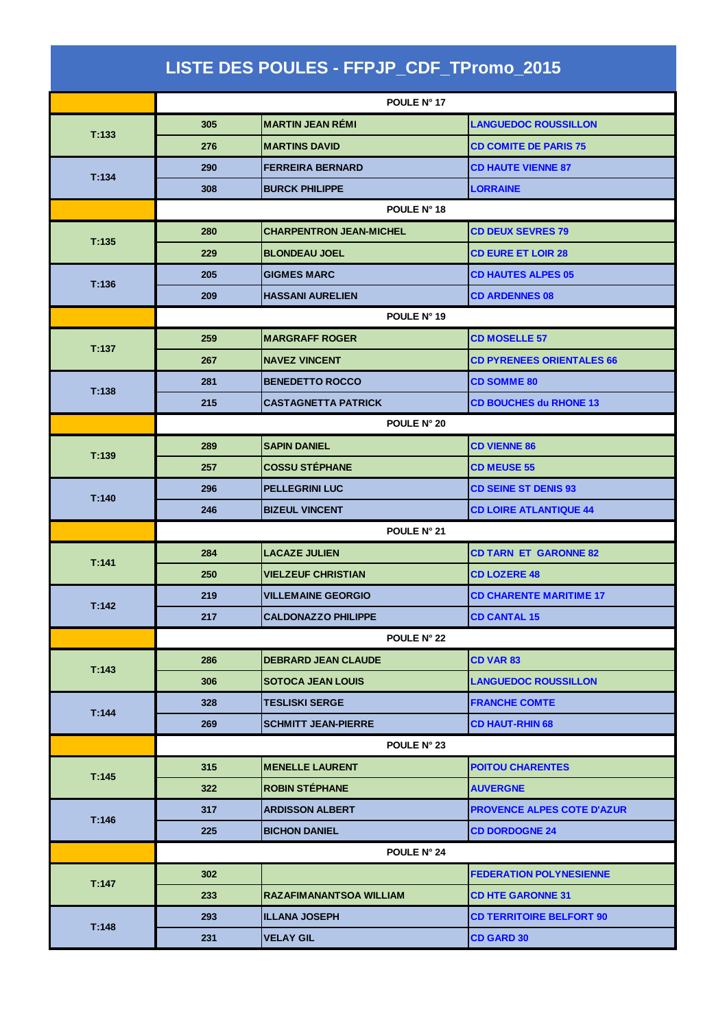| LISTE DES POULES - FFPJP_CDF_TPromo_2015 |             |                                |                                   |  |  |
|------------------------------------------|-------------|--------------------------------|-----------------------------------|--|--|
|                                          | POULE N° 17 |                                |                                   |  |  |
|                                          | 305         | <b>MARTIN JEAN RÉMI</b>        | <b>LANGUEDOC ROUSSILLON</b>       |  |  |
| T:133                                    | 276         | <b>MARTINS DAVID</b>           | <b>CD COMITE DE PARIS 75</b>      |  |  |
|                                          | 290         | <b>FERREIRA BERNARD</b>        | <b>CD HAUTE VIENNE 87</b>         |  |  |
| T:134                                    | 308         | <b>BURCK PHILIPPE</b>          | <b>LORRAINE</b>                   |  |  |
|                                          | POULE N° 18 |                                |                                   |  |  |
| T:135                                    | 280         | <b>CHARPENTRON JEAN-MICHEL</b> | <b>CD DEUX SEVRES 79</b>          |  |  |
|                                          | 229         | <b>BLONDEAU JOEL</b>           | <b>CD EURE ET LOIR 28</b>         |  |  |
|                                          | 205         | <b>GIGMES MARC</b>             | <b>CD HAUTES ALPES 05</b>         |  |  |
| T:136                                    | 209         | <b>HASSANI AURELIEN</b>        | <b>CD ARDENNES 08</b>             |  |  |
|                                          |             | POULE N° 19                    |                                   |  |  |
|                                          | 259         | <b>MARGRAFF ROGER</b>          | <b>CD MOSELLE 57</b>              |  |  |
| T:137                                    | 267         | <b>NAVEZ VINCENT</b>           | <b>CD PYRENEES ORIENTALES 66</b>  |  |  |
|                                          | 281         | <b>BENEDETTO ROCCO</b>         | <b>CD SOMME 80</b>                |  |  |
| T:138                                    | 215         | <b>CASTAGNETTA PATRICK</b>     | <b>CD BOUCHES du RHONE 13</b>     |  |  |
|                                          | POULE N° 20 |                                |                                   |  |  |
|                                          | 289         | <b>SAPIN DANIEL</b>            | <b>CD VIENNE 86</b>               |  |  |
| T:139                                    | 257         | <b>COSSU STÉPHANE</b>          | <b>CD MEUSE 55</b>                |  |  |
|                                          | 296         | <b>PELLEGRINI LUC</b>          | <b>CD SEINE ST DENIS 93</b>       |  |  |
| T:140                                    | 246         | <b>BIZEUL VINCENT</b>          | <b>CD LOIRE ATLANTIQUE 44</b>     |  |  |
|                                          | POULE N° 21 |                                |                                   |  |  |
|                                          | 284         | <b>LACAZE JULIEN</b>           | <b>CD TARN ET GARONNE 82</b>      |  |  |
| T:141                                    | 250         | <b>VIELZEUF CHRISTIAN</b>      | <b>CD LOZERE 48</b>               |  |  |
|                                          | 219         | <b>VILLEMAINE GEORGIO</b>      | <b>CD CHARENTE MARITIME 17</b>    |  |  |
| T:142                                    | 217         | <b>CALDONAZZO PHILIPPE</b>     | <b>CD CANTAL 15</b>               |  |  |
|                                          |             | POULE N° 22                    |                                   |  |  |
|                                          | 286         | <b>DEBRARD JEAN CLAUDE</b>     | <b>CD VAR 83</b>                  |  |  |
| T:143                                    | 306         | <b>SOTOCA JEAN LOUIS</b>       | <b>LANGUEDOC ROUSSILLON</b>       |  |  |
|                                          | 328         | <b>TESLISKI SERGE</b>          | <b>FRANCHE COMTE</b>              |  |  |
| T:144                                    | 269         | <b>SCHMITT JEAN-PIERRE</b>     | <b>CD HAUT-RHIN 68</b>            |  |  |
|                                          | POULE N° 23 |                                |                                   |  |  |
|                                          | 315         | <b>MENELLE LAURENT</b>         | <b>POITOU CHARENTES</b>           |  |  |
| T:145                                    | 322         | <b>ROBIN STÉPHANE</b>          | <b>AUVERGNE</b>                   |  |  |
|                                          | 317         | <b>ARDISSON ALBERT</b>         | <b>PROVENCE ALPES COTE D'AZUR</b> |  |  |
| T:146                                    | 225         | <b>BICHON DANIEL</b>           | <b>CD DORDOGNE 24</b>             |  |  |
|                                          |             | POULE N° 24                    |                                   |  |  |
| T:147                                    | 302         |                                | <b>FEDERATION POLYNESIENNE</b>    |  |  |
|                                          | 233         | <b>RAZAFIMANANTSOA WILLIAM</b> | <b>CD HTE GARONNE 31</b>          |  |  |
| T:148                                    | 293         | <b>ILLANA JOSEPH</b>           | <b>CD TERRITOIRE BELFORT 90</b>   |  |  |
|                                          | 231         | <b>VELAY GIL</b>               | <b>CD GARD 30</b>                 |  |  |